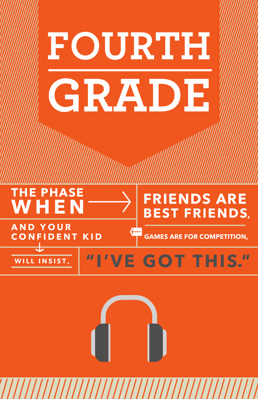# **FOURTH GRADE**

# **THE PHASE WHEN**

# **FRIENDS ARE BEST FRIENDS,**

**AND YOUR CONFIDENT KID**

**WILL INSIST,**

# **GAMES ARE FOR COMPETITION,**

# **"I'VE GOT THIS. "**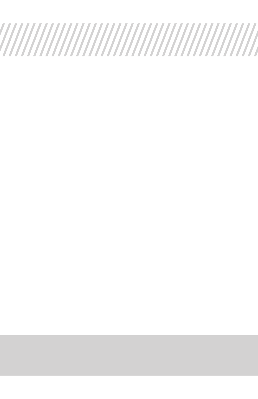#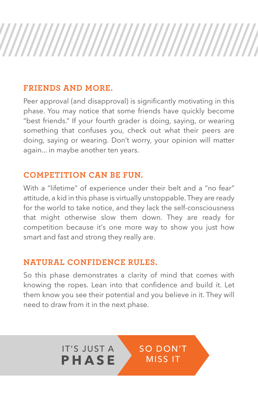## **FRIENDS AND MORE.**

Peer approval (and disapproval) is significantly motivating in this phase. You may notice that some friends have quickly become "best friends." If your fourth grader is doing, saying, or wearing something that confuses you, check out what their peers are doing, saying or wearing. Don't worry, your opinion will matter again... in maybe another ten years.

## **COMPETITION CAN BE FUN.**

With a "lifetime" of experience under their belt and a "no fear" attitude, a kid in this phase is virtually unstoppable. They are ready for the world to take notice, and they lack the self-consciousness that might otherwise slow them down. They are ready for competition because it's one more way to show you just how smart and fast and strong they really are.

## **NATURAL CONFIDENCE RULES.**

IT'S JUST A **PHASE**

So this phase demonstrates a clarity of mind that comes with knowing the ropes. Lean into that confidence and build it. Let them know you see their potential and you believe in it. They will need to draw from it in the next phase.

> SO DON'T MISS IT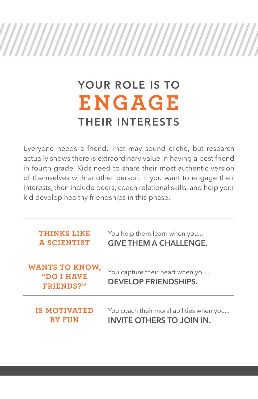# 

# **YOUR ROLE IS TO ENGAGE THEIR INTERESTS**

Everyone needs a friend. That may sound cliche, but research actually shows there is extraordinary value in having a best friend in fourth grade. Kids need to share their most authentic version of themselves with another person. If you want to engage their interests, then include peers, coach relational skills, and help your kid develop healthy friendships in this phase.

| <b>THINKS LIKE</b>                                      | You help them learn when you                                    |  |
|---------------------------------------------------------|-----------------------------------------------------------------|--|
| <b>A SCIENTIST</b>                                      | <b>GIVE THEM A CHALLENGE.</b>                                   |  |
| <b>WANTS TO KNOW,</b><br>"DO I HAVE<br><b>FRIENDS?"</b> | You capture their heart when you<br><b>DEVELOP FRIENDSHIPS.</b> |  |
| IS MOTIVATED                                            | You coach their moral abilities when you                        |  |
| <b>BY FUN</b>                                           | <b>INVITE OTHERS TO JOIN IN.</b>                                |  |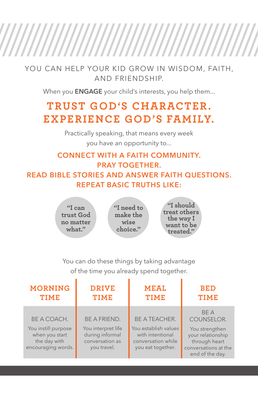YOU CAN HELP YOUR KID GROW IN WISDOM, FAITH, AND FRIENDSHIP.

When you **ENGAGE** your child's interests, you help them...

## **TRUST GOD'S CHARACTER . EXPERIENCE GOD'S FAMILY.**

Practically speaking, that means every week you have an opportunity to...

## **CONNECT WITH A FAITH COMMUNITY. PRAY TOGETHER. READ BIBLE STORIES AND ANSWER FAITH QUESTIONS. REPEAT BASIC TRUTHS LIKE:**

**"I can trust God no matter what." "I need to make the wise choice."**

**"I should treat others the way I want to be treated."**

You can do these things by taking advantage of the time you already spend together.

| <b>MORNING</b><br><b>TIME</b>                                               | <b>DRIVE</b><br><b>TIME</b>                                             | <b>MEAL</b><br><b>TIME</b>                                                          | <b>BED</b><br><b>TIME</b>                                                                       |
|-----------------------------------------------------------------------------|-------------------------------------------------------------------------|-------------------------------------------------------------------------------------|-------------------------------------------------------------------------------------------------|
| BE A COACH.                                                                 | <b>BE A FRIEND.</b>                                                     | <b>BE A TEACHER.</b>                                                                | <b>BEA</b><br>COUNSELOR.                                                                        |
| You instill purpose<br>when you start<br>the day with<br>encouraging words. | You interpret life<br>during informal<br>conversation as<br>you travel. | You establish values<br>with intentional<br>conversation while<br>you eat together. | You strengthen<br>your relationship<br>through heart<br>conversations at the<br>end of the day. |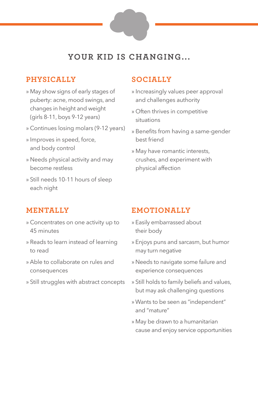## **YOUR KID IS CHANGING...**

### **PHYSICALLY**

- » May show signs of early stages of puberty: acne, mood swings, and changes in height and weight (girls 8-11, boys 9-12 years)
- » Continues losing molars (9-12 years)
- » Improves in speed, force, and body control
- » Needs physical activity and may become restless
- » Still needs 10-11 hours of sleep each night

### **SOCIALLY**

- » Increasingly values peer approval and challenges authority
- » Often thrives in competitive situations
- » Benefits from having a same-gender best friend
- » May have romantic interests, crushes, and experiment with physical affection

### **MENTALLY**

- » Concentrates on one activity up to 45 minutes
- » Reads to learn instead of learning to read
- » Able to collaborate on rules and consequences
- » Still struggles with abstract concepts

### **EMOTIONALLY**

- » Easily embarrassed about their body
- » Enjoys puns and sarcasm, but humor may turn negative
- » Needs to navigate some failure and experience consequences
- » Still holds to family beliefs and values, but may ask challenging questions
- » Wants to be seen as "independent" and "mature"
- » May be drawn to a humanitarian cause and enjoy service opportunities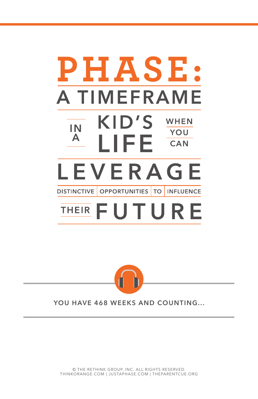# **PHASE: ATIMEFRAME** KID'S WHEN IN YOU A LIFE. **CAN** LEVERAGE DISTINCTIVE OPPORTUNITIES TO INFLUENCE THEIR FUTURE



**YOU HAVE 468 WEEKS AND COUNTING...**

© THE RETHINK GROUP, INC. ALL RIGHTS RESERVED. THINKORANGE.COM | JUSTAPHASE.COM | THEPARENTCUE.ORG